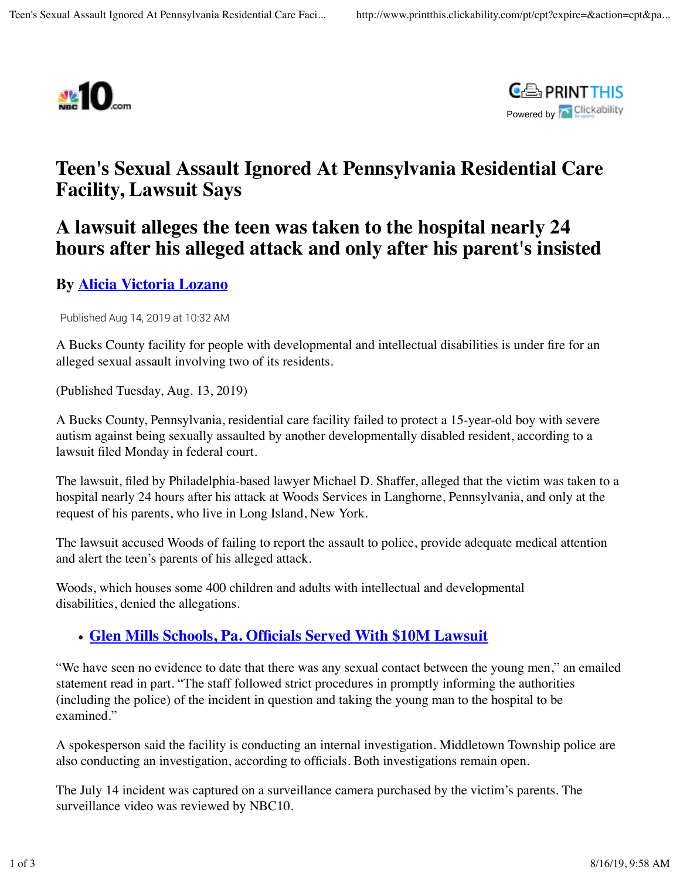



# **Teen's Sexual Assault Ignored At Pennsylvania Residential Care Facility, Lawsuit Says**

## **A lawsuit alleges the teen was taken to the hospital nearly 24 hours after his alleged attack and only after his parent's insisted**

### **By Alicia Victoria Lozano**

Published Aug 14, 2019 at 10:32 AM

A Bucks County facility for people with developmental and intellectual disabilities is under fire for an alleged sexual assault involving two of its residents.

(Published Tuesday, Aug. 13, 2019)

A Bucks County, Pennsylvania, residential care facility failed to protect a 15-year-old boy with severe autism against being sexually assaulted by another developmentally disabled resident, according to a lawsuit filed Monday in federal court.

The lawsuit, filed by Philadelphia-based lawyer Michael D. Shaffer, alleged that the victim was taken to a hospital nearly 24 hours after his attack at Woods Services in Langhorne, Pennsylvania, and only at the request of his parents, who live in Long Island, New York.

The lawsuit accused Woods of failing to report the assault to police, provide adequate medical attention and alert the teen's parents of his alleged attack.

Woods, which houses some 400 children and adults with intellectual and developmental disabilities, denied the allegations.

#### **Glen Mills Schools, Pa. Officials Served With \$10M Lawsuit**

"We have seen no evidence to date that there was any sexual contact between the young men," an emailed statement read in part. "The staff followed strict procedures in promptly informing the authorities (including the police) of the incident in question and taking the young man to the hospital to be examined."

A spokesperson said the facility is conducting an internal investigation. Middletown Township police are also conducting an investigation, according to officials. Both investigations remain open.

The July 14 incident was captured on a surveillance camera purchased by the victim's parents. The surveillance video was reviewed by NBC10.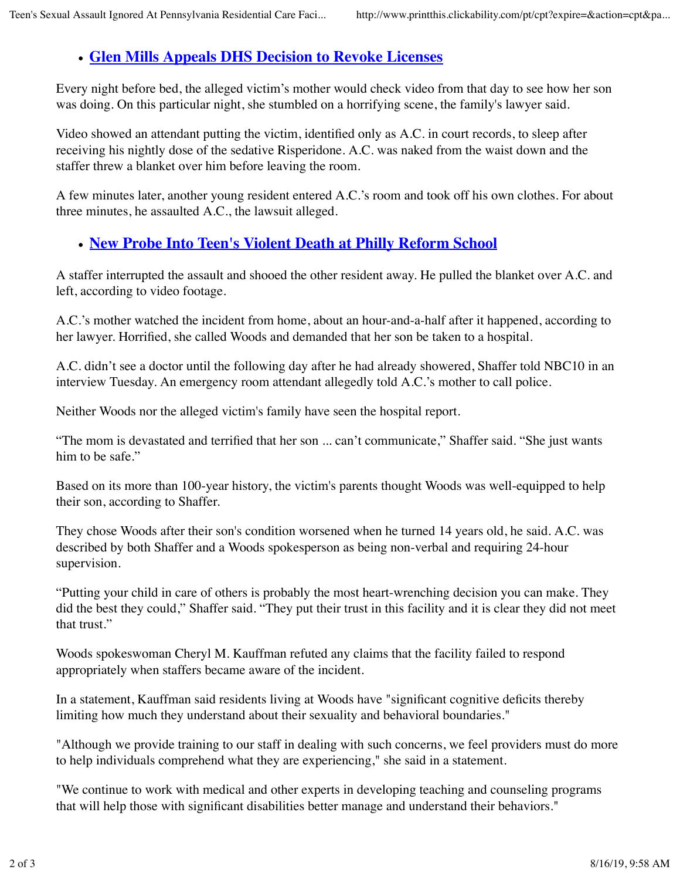### **Glen Mills Appeals DHS Decision to Revoke Licenses**

Every night before bed, the alleged victim's mother would check video from that day to see how her son was doing. On this particular night, she stumbled on a horrifying scene, the family's lawyer said.

Video showed an attendant putting the victim, identified only as A.C. in court records, to sleep after receiving his nightly dose of the sedative Risperidone. A.C. was naked from the waist down and the staffer threw a blanket over him before leaving the room.

A few minutes later, another young resident entered A.C.'s room and took off his own clothes. For about three minutes, he assaulted A.C., the lawsuit alleged.

### **New Probe Into Teen's Violent Death at Philly Reform School**

A staffer interrupted the assault and shooed the other resident away. He pulled the blanket over A.C. and left, according to video footage.

A.C.'s mother watched the incident from home, about an hour-and-a-half after it happened, according to her lawyer. Horrified, she called Woods and demanded that her son be taken to a hospital.

A.C. didn't see a doctor until the following day after he had already showered, Shaffer told NBC10 in an interview Tuesday. An emergency room attendant allegedly told A.C.'s mother to call police.

Neither Woods nor the alleged victim's family have seen the hospital report.

"The mom is devastated and terrified that her son ... can't communicate," Shaffer said. "She just wants him to be safe."

Based on its more than 100-year history, the victim's parents thought Woods was well-equipped to help their son, according to Shaffer.

They chose Woods after their son's condition worsened when he turned 14 years old, he said. A.C. was described by both Shaffer and a Woods spokesperson as being non-verbal and requiring 24-hour supervision.

"Putting your child in care of others is probably the most heart-wrenching decision you can make. They did the best they could," Shaffer said. "They put their trust in this facility and it is clear they did not meet that trust."

Woods spokeswoman Cheryl M. Kauffman refuted any claims that the facility failed to respond appropriately when staffers became aware of the incident.

In a statement, Kauffman said residents living at Woods have "significant cognitive deficits thereby limiting how much they understand about their sexuality and behavioral boundaries."

"Although we provide training to our staff in dealing with such concerns, we feel providers must do more to help individuals comprehend what they are experiencing," she said in a statement.

"We continue to work with medical and other experts in developing teaching and counseling programs that will help those with significant disabilities better manage and understand their behaviors."